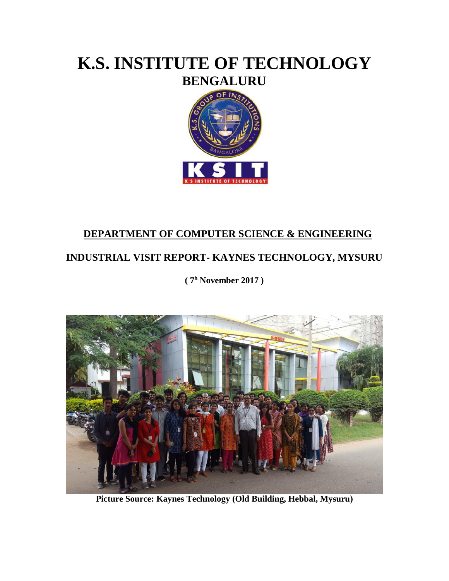# **K.S. INSTITUTE OF TECHNOLOGY BENGALURU**



### **DEPARTMENT OF COMPUTER SCIENCE & ENGINEERING**

## **INDUSTRIAL VISIT REPORT- KAYNES TECHNOLOGY, MYSURU**

**( 7 <sup>h</sup> November 2017 )**



**Picture Source: Kaynes Technology (Old Building, Hebbal, Mysuru)**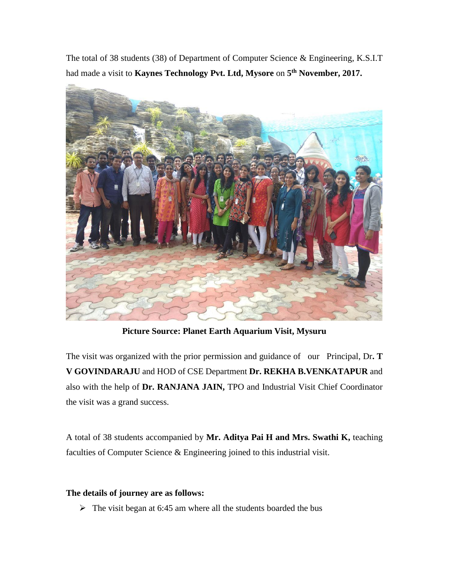The total of 38 students (38) of Department of Computer Science & Engineering, K.S.I.T had made a visit to **Kaynes Technology Pvt. Ltd, Mysore** on **5 th November, 2017.**



**Picture Source: Planet Earth Aquarium Visit, Mysuru**

The visit was organized with the prior permission and guidance of our Principal, Dr**. T V GOVINDARAJU** and HOD of CSE Department **Dr. REKHA B.VENKATAPUR** and also with the help of **Dr. RANJANA JAIN,** TPO and Industrial Visit Chief Coordinator the visit was a grand success.

A total of 38 students accompanied by **Mr. Aditya Pai H and Mrs. Swathi K,** teaching faculties of Computer Science & Engineering joined to this industrial visit.

#### **The details of journey are as follows:**

 $\triangleright$  The visit began at 6:45 am where all the students boarded the bus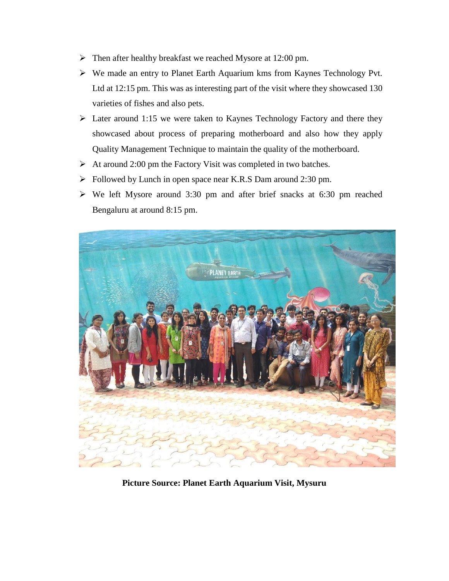- Then after healthy breakfast we reached Mysore at 12:00 pm.
- We made an entry to Planet Earth Aquarium kms from Kaynes Technology Pvt. Ltd at 12:15 pm. This was as interesting part of the visit where they showcased 130 varieties of fishes and also pets.
- $\triangleright$  Later around 1:15 we were taken to Kaynes Technology Factory and there they showcased about process of preparing motherboard and also how they apply Quality Management Technique to maintain the quality of the motherboard.
- $\triangleright$  At around 2:00 pm the Factory Visit was completed in two batches.
- Followed by Lunch in open space near K.R.S Dam around 2:30 pm.
- $\triangleright$  We left Mysore around 3:30 pm and after brief snacks at 6:30 pm reached Bengaluru at around 8:15 pm.



**Picture Source: Planet Earth Aquarium Visit, Mysuru**